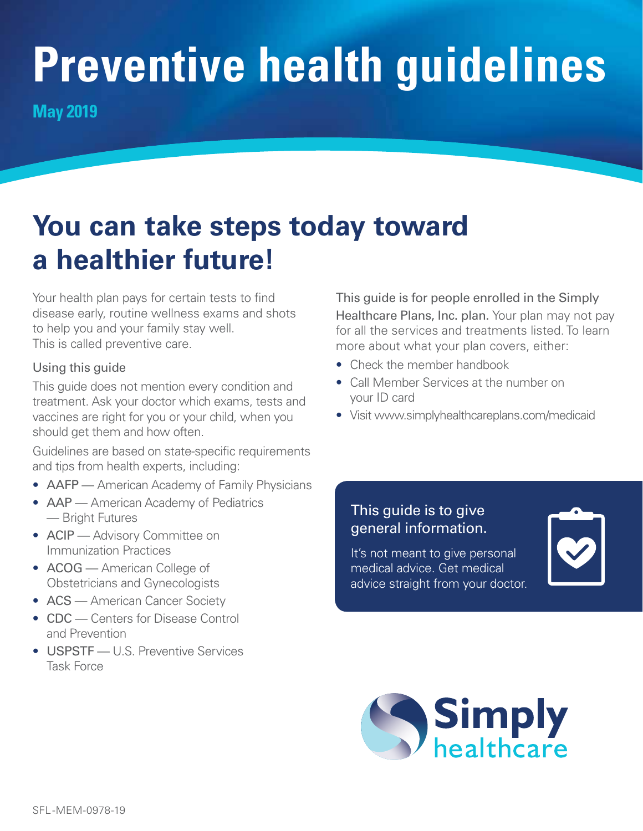# **Preventive health guidelines**

**May 2019**

# **You can take steps today toward a healthier future!**

Your health plan pays for certain tests to find disease early, routine wellness exams and shots to help you and your family stay well. This is called preventive care.

#### Using this guide

This guide does not mention every condition and treatment. Ask your doctor which exams, tests and vaccines are right for you or your child, when you should get them and how often.

Guidelines are based on state-specific requirements and tips from health experts, including:

- AAFP American Academy of Family Physicians
- AAP American Academy of Pediatrics — Bright Futures
- ACIP Advisory Committee on Immunization Practices
- ACOG American College of Obstetricians and Gynecologists
- ACS American Cancer Society
- CDC Centers for Disease Control and Prevention
- **USPSTF** U.S. Preventive Services Task Force

This guide is for people enrolled in the Simply Healthcare Plans, Inc. plan. Your plan may not pay for all the services and treatments listed. To learn more about what your plan covers, either:

- Check the member handbook
- Call Member Services at the number on your ID card
- Visit [www.simplyhealthcareplans.com/medicaid](http://www.simplyhealthcareplans.com/medicaid)

#### This guide is to give general information.

It's not meant to give personal medical advice. Get medical advice straight from your doctor.



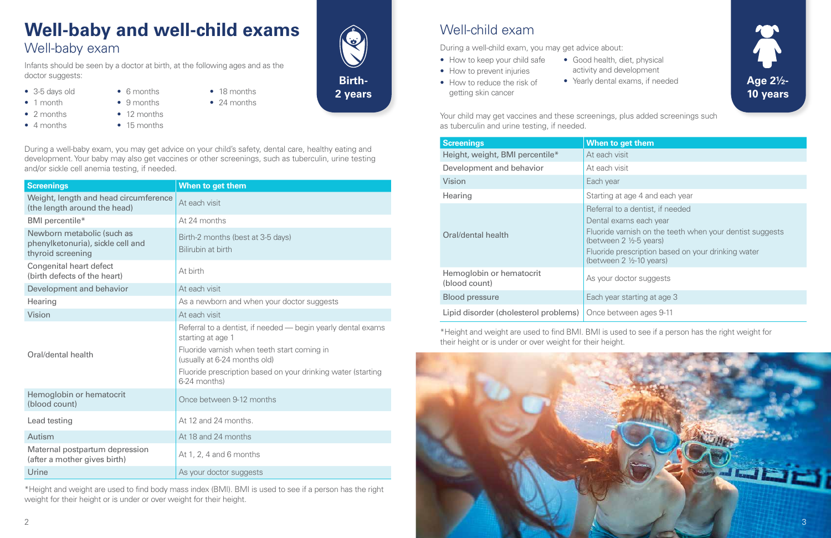## Well-child exam

During a well-child exam, you may get advice about:

- How to keep your child safe
- How to prevent injuries
- How to reduce the risk of getting skin cancer
- 
- 

• Good health, diet, physical activity and development • Yearly dental exams, if needed

Your child may get vaccines and these screenings, plus added screenings such as tuberculin and urine testing, if needed.

- 3-5 days old
- 1 month
- 2 months
- 4 months
- 9 months

• 6 months

- 12 months
- 15 months
- 24 months

| <b>Screenings</b>                         | When to get them                                                                                                                                                                                                                               |  |  |  |  |  |  |  |
|-------------------------------------------|------------------------------------------------------------------------------------------------------------------------------------------------------------------------------------------------------------------------------------------------|--|--|--|--|--|--|--|
| Height, weight, BMI percentile*           | At each visit                                                                                                                                                                                                                                  |  |  |  |  |  |  |  |
| Development and behavior                  | At each visit                                                                                                                                                                                                                                  |  |  |  |  |  |  |  |
| <b>Vision</b>                             | Each year                                                                                                                                                                                                                                      |  |  |  |  |  |  |  |
| Hearing                                   | Starting at age 4 and each year                                                                                                                                                                                                                |  |  |  |  |  |  |  |
| Oral/dental health                        | Referral to a dentist, if needed<br>Dental exams each year<br>Fluoride varnish on the teeth when your dentist suggests<br>(between $2 \frac{1}{2}$ -5 years)<br>Fluoride prescription based on your drinking water<br>(between 2 1/2-10 years) |  |  |  |  |  |  |  |
| Hemoglobin or hematocrit<br>(blood count) | As your doctor suggests                                                                                                                                                                                                                        |  |  |  |  |  |  |  |
| <b>Blood pressure</b>                     | Each year starting at age 3                                                                                                                                                                                                                    |  |  |  |  |  |  |  |
| Lipid disorder (cholesterol problems)     | Once between ages 9-11                                                                                                                                                                                                                         |  |  |  |  |  |  |  |

\*Height and weight are used to find BMI. BMI is used to see if a person has the right weight for their height or is under or over weight for their height.

## **Well-baby and well-child exams** Well-baby exam

Infants should be seen by a doctor at birth, at the following ages and as the doctor suggests:

#### During a well-baby exam, you may get advice on your child's safety, dental care, healthy eating and development. Your baby may also get vaccines or other screenings, such as tuberculin, urine testing and/or sickle cell anemia testing, if needed.

• 18 months

| <b>Screenings</b>                                                                    | When to get them                                                                                                                                                                                                                 |  |  |  |  |  |  |  |
|--------------------------------------------------------------------------------------|----------------------------------------------------------------------------------------------------------------------------------------------------------------------------------------------------------------------------------|--|--|--|--|--|--|--|
| Weight, length and head circumference<br>(the length around the head)                | At each visit                                                                                                                                                                                                                    |  |  |  |  |  |  |  |
| BMI percentile*                                                                      | At 24 months                                                                                                                                                                                                                     |  |  |  |  |  |  |  |
| Newborn metabolic (such as<br>phenylketonuria), sickle cell and<br>thyroid screening | Birth-2 months (best at 3-5 days)<br>Bilirubin at birth                                                                                                                                                                          |  |  |  |  |  |  |  |
| <b>Congenital heart defect</b><br>(birth defects of the heart)                       | At birth                                                                                                                                                                                                                         |  |  |  |  |  |  |  |
| Development and behavior                                                             | At each visit                                                                                                                                                                                                                    |  |  |  |  |  |  |  |
| Hearing                                                                              | As a newborn and when your doctor suggests                                                                                                                                                                                       |  |  |  |  |  |  |  |
| Vision                                                                               | At each visit                                                                                                                                                                                                                    |  |  |  |  |  |  |  |
| Oral/dental health                                                                   | Referral to a dentist, if needed — begin yearly dental exams<br>starting at age 1<br>Fluoride varnish when teeth start coming in<br>(usually at 6-24 months old)<br>Fluoride prescription based on your drinking water (starting |  |  |  |  |  |  |  |
|                                                                                      | 6-24 months)                                                                                                                                                                                                                     |  |  |  |  |  |  |  |
| Hemoglobin or hematocrit<br>(blood count)                                            | Once between 9-12 months                                                                                                                                                                                                         |  |  |  |  |  |  |  |
| Lead testing                                                                         | At 12 and 24 months.                                                                                                                                                                                                             |  |  |  |  |  |  |  |
| Autism                                                                               | At 18 and 24 months                                                                                                                                                                                                              |  |  |  |  |  |  |  |
| Maternal postpartum depression<br>(after a mother gives birth)                       | At 1, 2, 4 and 6 months                                                                                                                                                                                                          |  |  |  |  |  |  |  |
| Urine                                                                                | As your doctor suggests                                                                                                                                                                                                          |  |  |  |  |  |  |  |

\*Height and weight are used to find body mass index (BMI). BMI is used to see if a person has the right weight for their height or is under or over weight for their height.





**2 years**

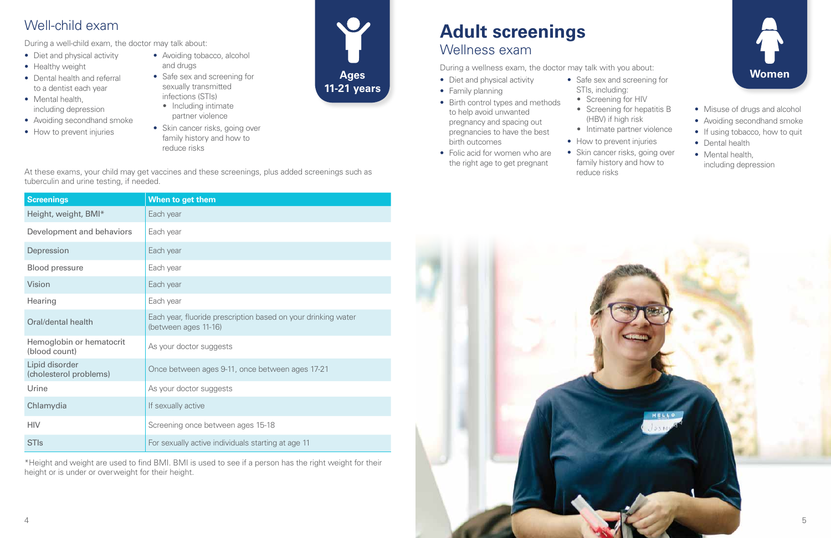## Well-child exam

During a well-child exam, the doctor may talk about:

- Diet and physical activity
- Healthy weight
- Dental health and referral to a dentist each year
- Mental health, including depression
- Avoiding secondhand smoke
- How to prevent injuries
- Avoiding tobacco, alcohol and drugs
- Safe sex and screening for sexually transmitted infections (STIs)
	- Including intimate partner violence
- Skin cancer risks, going over family history and how to reduce risks

At these exams, your child may get vaccines and these screenings, plus added screenings such as tuberculin and urine testing, if needed.

- Diet and physical activity
- Family planning

| <b>Screenings</b>                         | When to get them                                                                      |  |  |  |  |  |  |  |
|-------------------------------------------|---------------------------------------------------------------------------------------|--|--|--|--|--|--|--|
| Height, weight, BMI*                      | Each year                                                                             |  |  |  |  |  |  |  |
| Development and behaviors                 | Each year                                                                             |  |  |  |  |  |  |  |
| Depression                                | Each year                                                                             |  |  |  |  |  |  |  |
| <b>Blood pressure</b>                     | Each year                                                                             |  |  |  |  |  |  |  |
| Vision                                    | Each year                                                                             |  |  |  |  |  |  |  |
| Hearing                                   | Each year                                                                             |  |  |  |  |  |  |  |
| Oral/dental health                        | Each year, fluoride prescription based on your drinking water<br>(between ages 11-16) |  |  |  |  |  |  |  |
| Hemoglobin or hematocrit<br>(blood count) | As your doctor suggests                                                               |  |  |  |  |  |  |  |
| Lipid disorder<br>(cholesterol problems)  | Once between ages 9-11, once between ages 17-21                                       |  |  |  |  |  |  |  |
| Urine                                     | As your doctor suggests                                                               |  |  |  |  |  |  |  |
| Chlamydia                                 | If sexually active                                                                    |  |  |  |  |  |  |  |
| <b>HIV</b>                                | Screening once between ages 15-18                                                     |  |  |  |  |  |  |  |
| <b>STIs</b>                               | For sexually active individuals starting at age 11                                    |  |  |  |  |  |  |  |

\*Height and weight are used to find BMI. BMI is used to see if a person has the right weight for their height or is under or overweight for their height.



**Ages 11-21 years**

# **Adult screenings** Wellness exam

During a wellness exam, the doctor may talk with you about:

- Birth control types and methods to help avoid unwanted pregnancy and spacing out pregnancies to have the best birth outcomes
- Folic acid for women who are the right age to get pregnant
- STIs, including:
	-
	-
	- How to prevent injuries
	- Skin cancer risks, going over family history and how to reduce risks
- 
- Safe sex and screening for
	- Screening for HIV
	- Screening for hepatitis B
		- (HBV) if high risk
	- Intimate partner violence



- 
- Avoiding secondhand smoke
- If using tobacco, how to quit
- Dental health
- Mental health, including depression

**Women**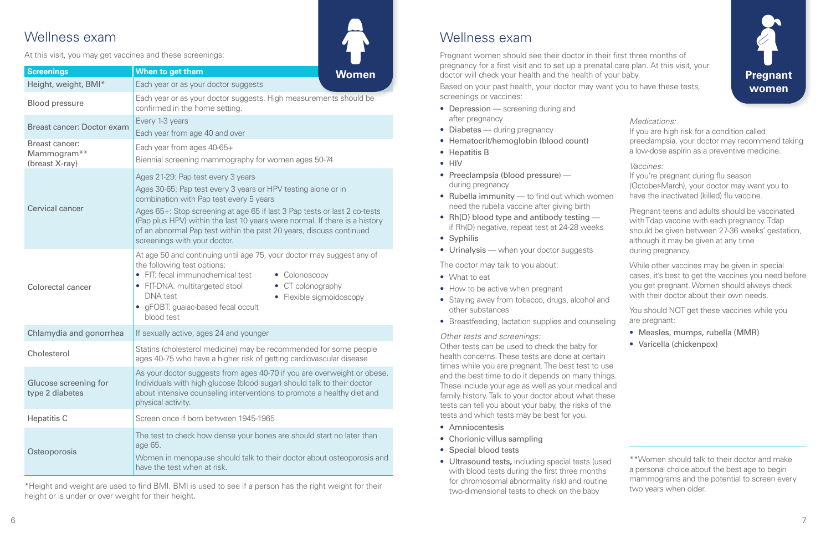### Wellness exam

At this visit, you may get vaccines and these screenings:

\*Height and weight are used to find BMI. BMI is used to see if a person has the right weight for their height or is under or over weight for their height.

#### Wellness exam

Pregnant women should see their doctor in their first three months of pregnancy for a first visit and to set up a prenatal care plan. At this visit, your doctor will check your health and the health of your baby.

Based on your past health, your doctor may want you to have these tests, screenings or vaccines:

- Depression screening during and after pregnancy
- Diabetes during pregnancy
- Hematocrit/hemoglobin (blood count)
- Hepatitis B
- HIV
- Preeclampsia (blood pressure) during pregnancy
- Rubella immunity to find out which women need the rubella vaccine after giving birth
- Rh(D) blood type and antibody testing if Rh(D) negative, repeat test at 24-28 weeks
- Syphilis
- Urinalysis when your doctor suggests

| <b>Screenings</b>                                           | When to get them<br>Women                                                                                                                                                                                                                                                                                                                                                                                        |  |  |  |  |  |  |  |  |
|-------------------------------------------------------------|------------------------------------------------------------------------------------------------------------------------------------------------------------------------------------------------------------------------------------------------------------------------------------------------------------------------------------------------------------------------------------------------------------------|--|--|--|--|--|--|--|--|
| Height, weight, BMI*                                        | Each year or as your doctor suggests                                                                                                                                                                                                                                                                                                                                                                             |  |  |  |  |  |  |  |  |
| <b>Blood pressure</b>                                       | Each year or as your doctor suggests. High measurements should be<br>confirmed in the home setting.                                                                                                                                                                                                                                                                                                              |  |  |  |  |  |  |  |  |
| <b>Breast cancer: Doctor exam</b>                           | Every 1-3 years<br>Each year from age 40 and over                                                                                                                                                                                                                                                                                                                                                                |  |  |  |  |  |  |  |  |
| Breast cancer:<br>Mammogram**<br>(breast X-ray)             | Each year from ages 40-65+<br>Biennial screening mammography for women ages 50-74                                                                                                                                                                                                                                                                                                                                |  |  |  |  |  |  |  |  |
| <b>Cervical cancer</b>                                      | Ages 21-29: Pap test every 3 years<br>Ages 30-65: Pap test every 3 years or HPV testing alone or in<br>combination with Pap test every 5 years<br>Ages 65+: Stop screening at age 65 if last 3 Pap tests or last 2 co-tests<br>(Pap plus HPV) within the last 10 years were normal. If there is a history<br>of an abnormal Pap test within the past 20 years, discuss continued<br>screenings with your doctor. |  |  |  |  |  |  |  |  |
| <b>Colorectal cancer</b>                                    | At age 50 and continuing until age 75, your doctor may suggest any of<br>the following test options:<br>FIT: fecal immunochemical test<br>• Colonoscopy<br>$\bullet$<br>CT colonography<br>• FIT-DNA: multitargeted stool<br><b>DNA</b> test<br>• Flexible sigmoidoscopy<br>• gFOBT: guaiac-based fecal occult<br>blood test                                                                                     |  |  |  |  |  |  |  |  |
| Chlamydia and gonorrhea                                     | If sexually active, ages 24 and younger                                                                                                                                                                                                                                                                                                                                                                          |  |  |  |  |  |  |  |  |
| Cholesterol                                                 | Statins (cholesterol medicine) may be recommended for some people<br>ages 40-75 who have a higher risk of getting cardiovascular disease                                                                                                                                                                                                                                                                         |  |  |  |  |  |  |  |  |
| Glucose screening for<br>type 2 diabetes                    | As your doctor suggests from ages 40-70 if you are overweight or obese.<br>Individuals with high glucose (blood sugar) should talk to their doctor<br>about intensive counseling interventions to promote a healthy diet and<br>physical activity.                                                                                                                                                               |  |  |  |  |  |  |  |  |
| <b>Hepatitis C</b><br>Screen once if born between 1945-1965 |                                                                                                                                                                                                                                                                                                                                                                                                                  |  |  |  |  |  |  |  |  |
| Osteoporosis                                                | The test to check how dense your bones are should start no later than<br>age 65.<br>Women in menopause should talk to their doctor about osteoporosis and<br>have the test when at risk.                                                                                                                                                                                                                         |  |  |  |  |  |  |  |  |

The doctor may talk to you about:

- What to eat
- How to be active when pregnant
- Staying away from tobacco, drugs, alcohol and other substances
- Breastfeeding, lactation supplies and counseling

#### *Other tests and screenings:*

Other tests can be used to check the baby for health concerns. These tests are done at certain times while you are pregnant. The best test to use and the best time to do it depends on many things. These include your age as well as your medical and family history. Talk to your doctor about what these tests can tell you about your baby, the risks of the tests and which tests may be best for you.

- Amniocentesis
- Chorionic villus sampling
- Special blood tests
- Ultrasound tests**,** including special tests (used with blood tests during the first three months for chromosomal abnormality risk) and routine two-dimensional tests to check on the baby

| Medications:<br>If you are high risk for a condition called<br>preeclampsia, your doctor may recommend taking<br>a low-dose aspirin as a preventive medicine. |
|---------------------------------------------------------------------------------------------------------------------------------------------------------------|
| Vaccines:<br>If you're pregnant during flu season<br>(October-March), your doctor may want you to                                                             |
| have the inactivated (killed) flu vaccine.                                                                                                                    |

Pregnant teens and adults should be vaccinated with Tdap vaccine with each pregnancy. Tdap should be given between 27-36 weeks' gestation, although it may be given at any time during pregnancy.

While other vaccines may be given in special cases, it's best to get the vaccines you need before you get pregnant. Women should always check with their doctor about their own needs.

You should NOT get these vaccines while you are pregnant:

- Measles, mumps, rubella (MMR)
- Varicella (chickenpox)



\*\*Women should talk to their doctor and make a personal choice about the best age to begin mammograms and the potential to screen every two years when older.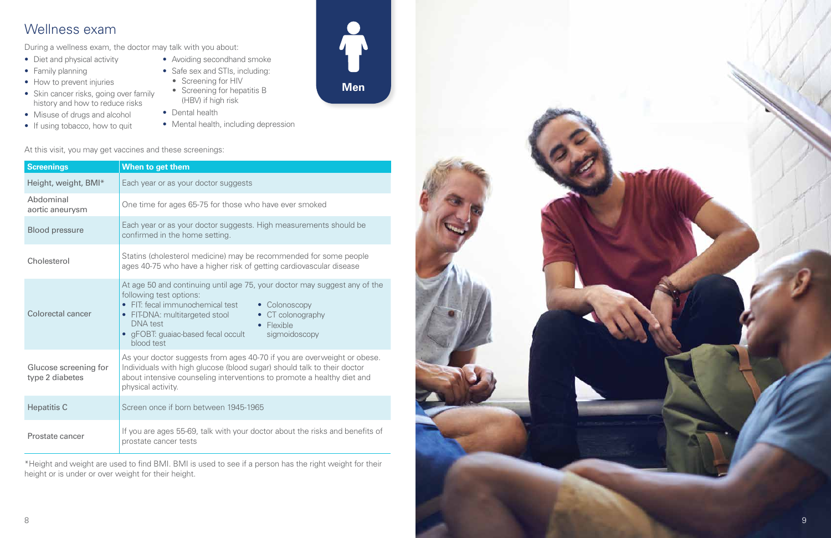## Wellness exam

During a wellness exam, the doctor may talk with you about:

- Diet and physical activity
- Family planning
- How to prevent injuries
- Skin cancer risks, going over family history and how to reduce risks
- Misuse of drugs and alcohol
- If using tobacco, how to quit
- Avoiding secondhand smoke • Safe sex and STIs, including:
	- Screening for HIV
	- Screening for hepatitis B (HBV) if high risk
- Dental health
- Mental health, including depression

At this visit, you may get vaccines and these screenings:

| <b>Screenings</b>                        | When to get them                                                                                                                                                                                                                                                                                                     |  |  |  |  |  |  |  |  |  |
|------------------------------------------|----------------------------------------------------------------------------------------------------------------------------------------------------------------------------------------------------------------------------------------------------------------------------------------------------------------------|--|--|--|--|--|--|--|--|--|
| Height, weight, BMI*                     | Each year or as your doctor suggests                                                                                                                                                                                                                                                                                 |  |  |  |  |  |  |  |  |  |
| Abdominal<br>aortic aneurysm             | One time for ages 65-75 for those who have ever smoked                                                                                                                                                                                                                                                               |  |  |  |  |  |  |  |  |  |
| <b>Blood pressure</b>                    | Each year or as your doctor suggests. High measurements should be<br>confirmed in the home setting.                                                                                                                                                                                                                  |  |  |  |  |  |  |  |  |  |
| Cholesterol                              | Statins (cholesterol medicine) may be recommended for some people<br>ages 40-75 who have a higher risk of getting cardiovascular disease                                                                                                                                                                             |  |  |  |  |  |  |  |  |  |
| Colorectal cancer                        | At age 50 and continuing until age 75, your doctor may suggest any of the<br>following test options:<br>• FIT: fecal immunochemical test<br>• Colonoscopy<br>FIT-DNA: multitargeted stool<br>• CT colonography<br><b>DNA</b> test<br>• Flexible<br>• gFOBT: guaiac-based fecal occult<br>sigmoidoscopy<br>blood test |  |  |  |  |  |  |  |  |  |
| Glucose screening for<br>type 2 diabetes | As your doctor suggests from ages 40-70 if you are overweight or obese.<br>Individuals with high glucose (blood sugar) should talk to their doctor<br>about intensive counseling interventions to promote a healthy diet and<br>physical activity.                                                                   |  |  |  |  |  |  |  |  |  |
| <b>Hepatitis C</b>                       | Screen once if born between 1945-1965                                                                                                                                                                                                                                                                                |  |  |  |  |  |  |  |  |  |
| Prostate cancer                          | If you are ages 55-69, talk with your doctor about the risks and benefits of<br>prostate cancer tests                                                                                                                                                                                                                |  |  |  |  |  |  |  |  |  |

\*Height and weight are used to find BMI. BMI is used to see if a person has the right weight for their height or is under or over weight for their height.



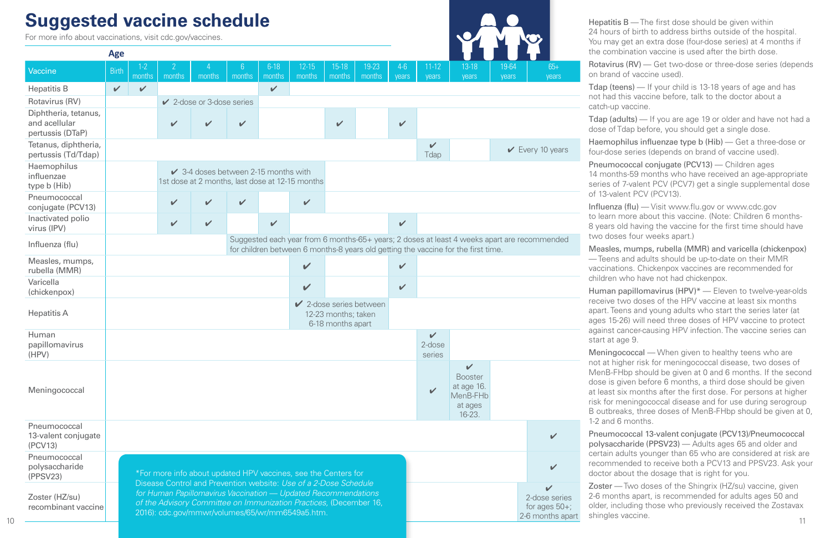# **Suggested vaccine schedule**

Hepatitis B — The first dose should be given within urs of birth to address births outside of the hospital. ay get an extra dose (four-dose series) at 4 months if ombination vaccine is used after the birth dose.

| For more info about vaccinations, visit cdc.gov/vaccines. |                                                                                                                                                                                                                                                             |                                                                                                    | <b>Daggootoa vabonio bonbaaro</b> |                                |               |                  |                     |                                          |                                                                                   |                |                                                                                                                                      |                                                                                                                                                                                                         |                |                                                                                             | 24 hours of birth to address births outside of the hospital.<br>You may get an extra dose (four-dose series) at 4 months if<br>the combination vaccine is used after the birth dose.                                                                                                                                                                                                                         |  |  |  |
|-----------------------------------------------------------|-------------------------------------------------------------------------------------------------------------------------------------------------------------------------------------------------------------------------------------------------------------|----------------------------------------------------------------------------------------------------|-----------------------------------|--------------------------------|---------------|------------------|---------------------|------------------------------------------|-----------------------------------------------------------------------------------|----------------|--------------------------------------------------------------------------------------------------------------------------------------|---------------------------------------------------------------------------------------------------------------------------------------------------------------------------------------------------------|----------------|---------------------------------------------------------------------------------------------|--------------------------------------------------------------------------------------------------------------------------------------------------------------------------------------------------------------------------------------------------------------------------------------------------------------------------------------------------------------------------------------------------------------|--|--|--|
| <b>Vaccine</b>                                            | <b>Age</b><br><b>Birth</b>                                                                                                                                                                                                                                  | $1 - 2$<br>months                                                                                  | months                            |                                | months months | $6-18$<br>months | $12 - 15$<br>months | $15-18$<br>  months                      | $19-23$<br>months                                                                 | $4-6$<br>years | $11-12$<br>years                                                                                                                     | $13-18$<br>years                                                                                                                                                                                        | 19-64<br>years | $65+$<br>years                                                                              | Rotavirus (RV) - Get two-dose or three-dose series (depend<br>on brand of vaccine used).                                                                                                                                                                                                                                                                                                                     |  |  |  |
| <b>Hepatitis B</b>                                        | $\vee$                                                                                                                                                                                                                                                      | $\checkmark$                                                                                       |                                   |                                |               | $\mathbf v$      |                     |                                          |                                                                                   |                |                                                                                                                                      |                                                                                                                                                                                                         |                |                                                                                             | Tdap (teens) — If your child is 13-18 years of age and has<br>not had this vaccine before, talk to the doctor about a                                                                                                                                                                                                                                                                                        |  |  |  |
| Rotavirus (RV)                                            |                                                                                                                                                                                                                                                             |                                                                                                    |                                   | $\vee$ 2-dose or 3-dose series |               |                  |                     |                                          |                                                                                   |                |                                                                                                                                      |                                                                                                                                                                                                         |                |                                                                                             | catch-up vaccine.                                                                                                                                                                                                                                                                                                                                                                                            |  |  |  |
| Diphtheria, tetanus,<br>and acellular<br>pertussis (DTaP) |                                                                                                                                                                                                                                                             |                                                                                                    | $\overline{\mathcal{L}}$          |                                |               |                  |                     | $\mathbf{v}$                             |                                                                                   | $\mathbf{v}$   |                                                                                                                                      |                                                                                                                                                                                                         |                |                                                                                             | Tdap (adults) — If you are age 19 or older and have not had<br>dose of Tdap before, you should get a single dose.                                                                                                                                                                                                                                                                                            |  |  |  |
| Tetanus, diphtheria,<br>pertussis (Td/Tdap)               |                                                                                                                                                                                                                                                             |                                                                                                    |                                   |                                |               |                  |                     |                                          |                                                                                   |                | V<br>Tdap                                                                                                                            |                                                                                                                                                                                                         |                | $\vee$ Every 10 years                                                                       | Haemophilus influenzae type b (Hib) — Get a three-dose or<br>four-dose series (depends on brand of vaccine used).                                                                                                                                                                                                                                                                                            |  |  |  |
| Haemophilus<br>influenzae<br>type b (Hib)                 |                                                                                                                                                                                                                                                             | $\checkmark$ 3-4 doses between 2-15 months with<br>1st dose at 2 months, last dose at 12-15 months |                                   |                                |               |                  |                     |                                          |                                                                                   |                |                                                                                                                                      | Pneumococcal conjugate (PCV13) — Children ages<br>14 months-59 months who have received an age-appropriate<br>series of 7-valent PCV (PCV7) get a single supplemental dose<br>of 13-valent PCV (PCV13). |                |                                                                                             |                                                                                                                                                                                                                                                                                                                                                                                                              |  |  |  |
| Pneumococcal<br>conjugate (PCV13)                         |                                                                                                                                                                                                                                                             |                                                                                                    |                                   |                                |               |                  | $\checkmark$        |                                          |                                                                                   |                |                                                                                                                                      |                                                                                                                                                                                                         |                |                                                                                             | Influenza (flu) — Visit www.flu.gov or www.cdc.gov                                                                                                                                                                                                                                                                                                                                                           |  |  |  |
| Inactivated polio<br>virus (IPV)                          |                                                                                                                                                                                                                                                             |                                                                                                    | $\checkmark$                      |                                |               | $\mathbf{v}$     |                     |                                          |                                                                                   | $\mathbf{v}$   |                                                                                                                                      |                                                                                                                                                                                                         |                |                                                                                             | to learn more about this vaccine. (Note: Children 6 months-<br>8 years old having the vaccine for the first time should have                                                                                                                                                                                                                                                                                 |  |  |  |
| Influenza (flu)                                           |                                                                                                                                                                                                                                                             |                                                                                                    |                                   |                                |               |                  |                     |                                          | for children between 6 months-8 years old getting the vaccine for the first time. |                |                                                                                                                                      |                                                                                                                                                                                                         |                | Suggested each year from 6 months-65+ years; 2 doses at least 4 weeks apart are recommended | two doses four weeks apart.)<br>Measles, mumps, rubella (MMR) and varicella (chickenpox)                                                                                                                                                                                                                                                                                                                     |  |  |  |
| Measles, mumps,<br>rubella (MMR)                          |                                                                                                                                                                                                                                                             |                                                                                                    |                                   |                                |               |                  | $\checkmark$        |                                          |                                                                                   | $\mathbf{v}$   |                                                                                                                                      |                                                                                                                                                                                                         |                |                                                                                             | -Teens and adults should be up-to-date on their MMR<br>vaccinations. Chickenpox vaccines are recommended for<br>children who have not had chickenpox.<br>Human papillomavirus (HPV)* - Eleven to twelve-year-olds<br>receive two doses of the HPV vaccine at least six months<br>apart. Teens and young adults who start the series later (at<br>ages 15-26) will need three doses of HPV vaccine to protect |  |  |  |
| Varicella<br>(chickenpox)                                 |                                                                                                                                                                                                                                                             |                                                                                                    |                                   |                                |               |                  | $\mathbf{v}$        |                                          |                                                                                   | $\mathbf v$    |                                                                                                                                      |                                                                                                                                                                                                         |                |                                                                                             |                                                                                                                                                                                                                                                                                                                                                                                                              |  |  |  |
| <b>Hepatitis A</b>                                        |                                                                                                                                                                                                                                                             |                                                                                                    |                                   |                                |               |                  |                     | 12-23 months; taken<br>6-18 months apart | $\vee$ 2-dose series between                                                      |                |                                                                                                                                      |                                                                                                                                                                                                         |                |                                                                                             |                                                                                                                                                                                                                                                                                                                                                                                                              |  |  |  |
| Human<br>papillomavirus                                   |                                                                                                                                                                                                                                                             |                                                                                                    |                                   |                                |               |                  |                     |                                          |                                                                                   |                | V<br>2-dose                                                                                                                          |                                                                                                                                                                                                         |                |                                                                                             | against cancer-causing HPV infection. The vaccine series can<br>start at age 9.                                                                                                                                                                                                                                                                                                                              |  |  |  |
| (HPV)                                                     |                                                                                                                                                                                                                                                             |                                                                                                    |                                   |                                |               |                  |                     |                                          |                                                                                   |                | series                                                                                                                               | $\checkmark$                                                                                                                                                                                            |                |                                                                                             | Meningococcal — When given to healthy teens who are<br>not at higher risk for meningococcal disease, two doses of                                                                                                                                                                                                                                                                                            |  |  |  |
| Meningococcal                                             |                                                                                                                                                                                                                                                             |                                                                                                    |                                   |                                |               |                  |                     |                                          |                                                                                   |                | $\overline{\mathcal{L}}$                                                                                                             | <b>Booster</b><br>at age 16.<br>MenB-FHb<br>at ages<br>16-23.                                                                                                                                           |                |                                                                                             | MenB-FHbp should be given at 0 and 6 months. If the secor<br>dose is given before 6 months, a third dose should be given<br>at least six months after the first dose. For persons at higher<br>risk for meningococcal disease and for use during serogroup<br>B outbreaks, three doses of MenB-FHbp should be given at                                                                                       |  |  |  |
| Pneumococcal<br>13-valent conjugate<br>(PCV13)            | $\checkmark$                                                                                                                                                                                                                                                |                                                                                                    |                                   |                                |               |                  |                     |                                          |                                                                                   |                | 1-2 and 6 months.<br>Pneumococcal 13-valent conjugate (PCV13)/Pneumococcal<br>polysaccharide (PPSV23) - Adults ages 65 and older and |                                                                                                                                                                                                         |                |                                                                                             |                                                                                                                                                                                                                                                                                                                                                                                                              |  |  |  |
| Pneumococcal<br>polysaccharide<br>(PPSV23)                |                                                                                                                                                                                                                                                             | V<br>*For more info about updated HPV vaccines, see the Centers for                                |                                   |                                |               |                  |                     |                                          |                                                                                   |                |                                                                                                                                      | certain adults younger than 65 who are considered at risk are<br>recommended to receive both a PCV13 and PPSV23. Ask yo<br>doctor about the dosage that is right for you.                               |                |                                                                                             |                                                                                                                                                                                                                                                                                                                                                                                                              |  |  |  |
| Zoster (HZ/su)<br>recombinant vaccine                     | Disease Control and Prevention website: Use of a 2-Dose Schedule<br>for Human Papillomavirus Vaccination - Updated Recommendations<br>of the Advisory Committee on Immunization Practices, (December 16,<br>2016): cdc.gov/mmwr/volumes/65/wr/mm6549a5.htm. |                                                                                                    |                                   |                                |               |                  |                     |                                          |                                                                                   |                |                                                                                                                                      |                                                                                                                                                                                                         |                | $\mathbf{v}$<br>2-dose series<br>for ages $50+$ ;<br>2-6 months apart                       | <b>Zoster</b> — Two doses of the Shingrix (HZ/su) vaccine, given<br>2-6 months apart, is recommended for adults ages 50 and<br>older, including those who previously received the Zostavax<br>shingles vaccine.                                                                                                                                                                                              |  |  |  |